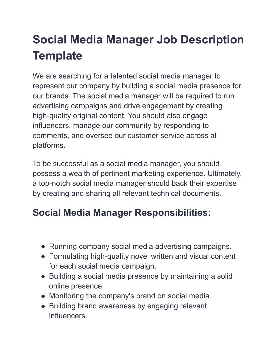## **Social Media Manager Job Description Template**

We are searching for a talented social media manager to represent our company by building a social media presence for our brands. The social media manager will be required to run advertising campaigns and drive engagement by creating high-quality original content. You should also engage influencers, manage our community by responding to comments, and oversee our customer service across all platforms.

To be successful as a social media manager, you should possess a wealth of pertinent marketing experience. Ultimately, a top-notch social media manager should back their expertise by creating and sharing all relevant technical documents.

## **Social Media Manager Responsibilities:**

- Running company social media advertising campaigns.
- Formulating high-quality novel written and visual content for each social media campaign.
- Building a social media presence by maintaining a solid online presence.
- Monitoring the company's brand on social media.
- Building brand awareness by engaging relevant influencers.